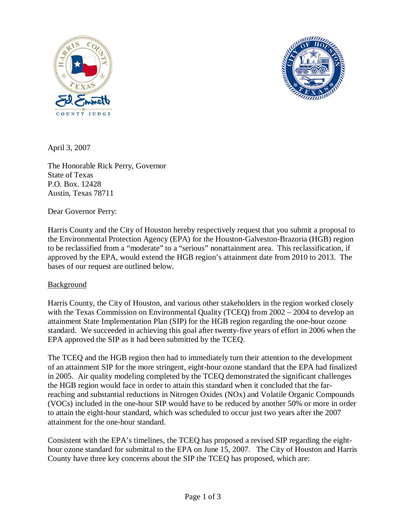



April 3, 2007

The Honorable Rick Perry, Governor State of Texas P.O. Box. 12428 Austin, Texas 78711

Dear Governor Perry:

Harris County and the City of Houston hereby respectively request that you submit a proposal to the Environmental Protection Agency (EPA) for the Houston-Galveston-Brazoria (HGB) region to be reclassified from a "moderate" to a "serious" nonattainment area. This reclassification, if approved by the EPA, would extend the HGB region's attainment date from 2010 to 2013. The bases of our request are outlined below.

## Background

Harris County, the City of Houston, and various other stakeholders in the region worked closely with the Texas Commission on Environmental Quality (TCEQ) from 2002 – 2004 to develop an attainment State Implementation Plan (SIP) for the HGB region regarding the one-hour ozone standard. We succeeded in achieving this goal after twenty-five years of effort in 2006 when the EPA approved the SIP as it had been submitted by the TCEQ.

The TCEQ and the HGB region then had to immediately turn their attention to the development of an attainment SIP for the more stringent, eight-hour ozone standard that the EPA had finalized in 2005. Air quality modeling completed by the TCEQ demonstrated the significant challenges the HGB region would face in order to attain this standard when it concluded that the farreaching and substantial reductions in Nitrogen Oxides (NOx) and Volatile Organic Compounds (VOCs) included in the one-hour SIP would have to be reduced by another 50% or more in order to attain the eight-hour standard, which was scheduled to occur just two years after the 2007 attainment for the one-hour standard.

Consistent with the EPA's timelines, the TCEQ has proposed a revised SIP regarding the eighthour ozone standard for submittal to the EPA on June 15, 2007. The City of Houston and Harris County have three key concerns about the SIP the TCEQ has proposed, which are: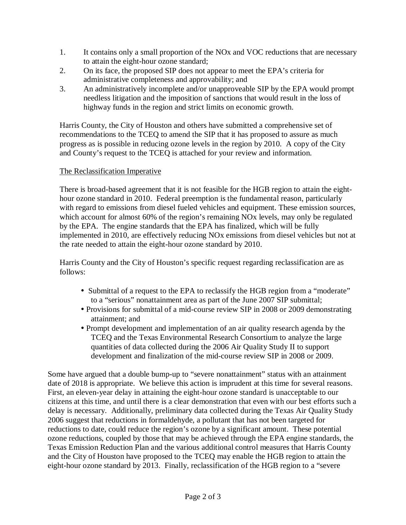- 1. It contains only a small proportion of the NOx and VOC reductions that are necessary to attain the eight-hour ozone standard;
- 2. On its face, the proposed SIP does not appear to meet the EPA's criteria for administrative completeness and approvability; and
- 3. An administratively incomplete and/or unapproveable SIP by the EPA would prompt needless litigation and the imposition of sanctions that would result in the loss of highway funds in the region and strict limits on economic growth.

Harris County, the City of Houston and others have submitted a comprehensive set of recommendations to the TCEQ to amend the SIP that it has proposed to assure as much progress as is possible in reducing ozone levels in the region by 2010. A copy of the City and County's request to the TCEQ is attached for your review and information.

## The Reclassification Imperative

There is broad-based agreement that it is not feasible for the HGB region to attain the eighthour ozone standard in 2010. Federal preemption is the fundamental reason, particularly with regard to emissions from diesel fueled vehicles and equipment. These emission sources, which account for almost 60% of the region's remaining NO<sub>x</sub> levels, may only be regulated by the EPA. The engine standards that the EPA has finalized, which will be fully implemented in 2010, are effectively reducing NOx emissions from diesel vehicles but not at the rate needed to attain the eight-hour ozone standard by 2010.

Harris County and the City of Houston's specific request regarding reclassification are as follows:

- Submittal of a request to the EPA to reclassify the HGB region from a "moderate" to a "serious" nonattainment area as part of the June 2007 SIP submittal;
- Provisions for submittal of a mid-course review SIP in 2008 or 2009 demonstrating attainment; and
- Prompt development and implementation of an air quality research agenda by the TCEQ and the Texas Environmental Research Consortium to analyze the large quantities of data collected during the 2006 Air Quality Study II to support development and finalization of the mid-course review SIP in 2008 or 2009.

Some have argued that a double bump-up to "severe nonattainment" status with an attainment date of 2018 is appropriate. We believe this action is imprudent at this time for several reasons. First, an eleven-year delay in attaining the eight-hour ozone standard is unacceptable to our citizens at this time, and until there is a clear demonstration that even with our best efforts such a delay is necessary. Additionally, preliminary data collected during the Texas Air Quality Study 2006 suggest that reductions in formaldehyde, a pollutant that has not been targeted for reductions to date, could reduce the region's ozone by a significant amount. These potential ozone reductions, coupled by those that may be achieved through the EPA engine standards, the Texas Emission Reduction Plan and the various additional control measures that Harris County and the City of Houston have proposed to the TCEQ may enable the HGB region to attain the eight-hour ozone standard by 2013. Finally, reclassification of the HGB region to a "severe